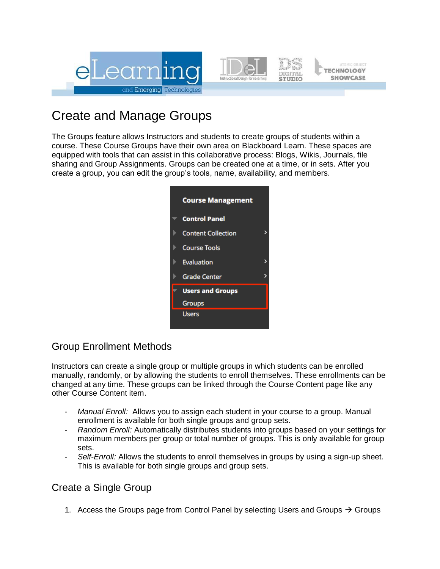

# Create and Manage Groups

The Groups feature allows Instructors and students to create groups of students within a course. These Course Groups have their own area on Blackboard Learn. These spaces are equipped with tools that can assist in this collaborative process: Blogs, Wikis, Journals, file sharing and Group Assignments. Groups can be created one at a time, or in sets. After you create a group, you can edit the group's tools, name, availability, and members.



## Group Enrollment Methods

Instructors can create a single group or multiple groups in which students can be enrolled manually, randomly, or by allowing the students to enroll themselves. These enrollments can be changed at any time. These groups can be linked through the Course Content page like any other Course Content item.

- Manual Enroll: Allows you to assign each student in your course to a group. Manual enrollment is available for both single groups and group sets.
- *Random Enroll:* Automatically distributes students into groups based on your settings for maximum members per group or total number of groups. This is only available for group sets.
- Self-Enroll: Allows the students to enroll themselves in groups by using a sign-up sheet. This is available for both single groups and group sets.

### Create a Single Group

1. Access the Groups page from Control Panel by selecting Users and Groups  $\rightarrow$  Groups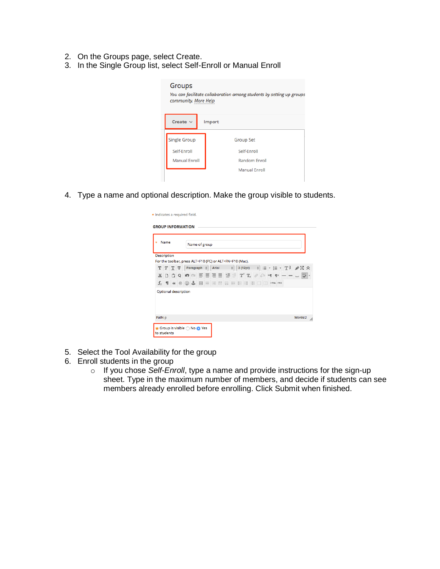- 2. On the Groups page, select Create.
- 3. In the Single Group list, select Self-Enroll or Manual Enroll

| Groups<br>community. More Help | You can facilitate collaboration among students by setting up groups |
|--------------------------------|----------------------------------------------------------------------|
| Create $\vee$                  | Import                                                               |
| <b>Single Group</b>            | <b>Group Set</b>                                                     |
| Self-Enroll                    | Self-Enroll                                                          |
| <b>Manual Enroll</b>           | <b>Random Enroll</b>                                                 |
|                                | <b>Manual Enroll</b>                                                 |

4. Type a name and optional description. Make the group visible to students.

|       | Name               |     |                                                           |              | Name of group    |   |       |  |   |                                                          |  |  |  |                             |  |  |
|-------|--------------------|-----|-----------------------------------------------------------|--------------|------------------|---|-------|--|---|----------------------------------------------------------|--|--|--|-----------------------------|--|--|
|       | <b>Description</b> |     |                                                           |              |                  |   |       |  |   | For the toolbar, press ALT+F10 (PC) or ALT+FN+F10 (Mac). |  |  |  |                             |  |  |
| т     |                    |     | $T$ T $\overline{T}$                                      |              | Paragraph $\div$ |   | Arial |  | ÷ | 3(12pt)                                                  |  |  |  | ♦ !E ~ !E ~ T !! ↗X ☆       |  |  |
| Y.    | n.                 | I D | Q                                                         | <b>IO</b> CI |                  |   |       |  |   |                                                          |  |  |  | [리프] 그 별 역 다 T, 2 % 제 핸드드 다 |  |  |
| $f_x$ |                    |     | $\P$ $\leftarrow$ $\odot$ $\odot$ $\downarrow$ $\boxplus$ |              |                  | H |       |  |   | BEE E BEE E E E E CONTACTS                               |  |  |  |                             |  |  |
|       |                    |     | Optional description                                      |              |                  |   |       |  |   |                                                          |  |  |  |                             |  |  |

- 5. Select the Tool Availability for the group
- 6. Enroll students in the group
	- o If you chose *Self-Enroll*, type a name and provide instructions for the sign-up sheet. Type in the maximum number of members, and decide if students can see members already enrolled before enrolling. Click Submit when finished.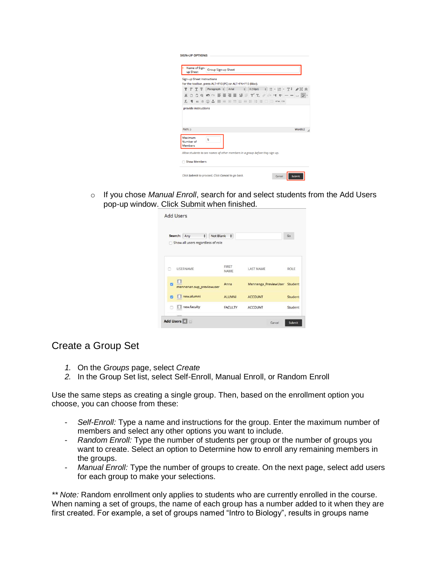| Name of Sign-<br>Group Sign-up Sheet<br>up Sheet |                                        |  |                      |                                                                                        |                   |                                                                       |  |  |                      |  |  |  |  |  |                                                                                                                                                                                                                                                     |                           |         |  |
|--------------------------------------------------|----------------------------------------|--|----------------------|----------------------------------------------------------------------------------------|-------------------|-----------------------------------------------------------------------|--|--|----------------------|--|--|--|--|--|-----------------------------------------------------------------------------------------------------------------------------------------------------------------------------------------------------------------------------------------------------|---------------------------|---------|--|
|                                                  |                                        |  |                      | Sign-up Sheet Instructions<br>For the toolbar, press ALT+F10 (PC) or ALT+FN+F10 (Mac). |                   |                                                                       |  |  |                      |  |  |  |  |  |                                                                                                                                                                                                                                                     |                           |         |  |
| т                                                | T                                      |  | T <sub>T</sub>       |                                                                                        | Paragraph # Arial |                                                                       |  |  | $\ddot{\phantom{a}}$ |  |  |  |  |  |                                                                                                                                                                                                                                                     | 3(12pt) ↓ 三 - 三 - 工 / 公 ☆ |         |  |
| $\chi$                                           |                                        |  |                      | COO                                                                                    |                   |                                                                       |  |  |                      |  |  |  |  |  | $\equiv \equiv \equiv \equiv \equiv \equiv \texttt{T}' \texttt{T}_x \texttt{ } \mathcal{O} \texttt{ } \mathcal{P} \texttt{ } \mathcal{M} \texttt{ } \P' = - \texttt{ } \square \texttt{ } \overline{\mathcal{Q}} \texttt{ } \overline{\mathcal{V}}$ |                           |         |  |
|                                                  |                                        |  |                      |                                                                                        |                   |                                                                       |  |  |                      |  |  |  |  |  |                                                                                                                                                                                                                                                     |                           |         |  |
|                                                  |                                        |  | provide instructions |                                                                                        |                   | $f_x \parallel \omega$ 6 $\odot$ $\downarrow$ $\parallel$ $\parallel$ |  |  |                      |  |  |  |  |  | <b>BEE BEE BEE DOWN.CSS</b>                                                                                                                                                                                                                         |                           |         |  |
| Path: p                                          |                                        |  |                      |                                                                                        |                   |                                                                       |  |  |                      |  |  |  |  |  |                                                                                                                                                                                                                                                     |                           | Words:2 |  |
|                                                  | Maximum<br>Number of<br><b>Members</b> |  |                      | 5                                                                                      |                   |                                                                       |  |  |                      |  |  |  |  |  |                                                                                                                                                                                                                                                     |                           |         |  |
|                                                  |                                        |  |                      | Allow students to see names of other members in a group before they sign up.           |                   |                                                                       |  |  |                      |  |  |  |  |  |                                                                                                                                                                                                                                                     |                           |         |  |

o If you chose *Manual Enroll*, search for and select students from the Add Users pop-up window. Click Submit when finished.

|   | $\ddot{\phantom{a}}$<br>Search: Any<br>Show all users regardless of role | Not Blank $\phi$     |                              | Go          |
|---|--------------------------------------------------------------------------|----------------------|------------------------------|-------------|
|   |                                                                          |                      |                              |             |
|   | <b>USERNAME</b>                                                          | <b>FIRST</b><br>NAME | <b>LAST NAME</b>             | <b>ROLE</b> |
| m | mennenan.sup_previewuser                                                 | Anna                 | Mennenga_PreviewUser Student |             |
|   | new.alumni                                                               | <b>ALUMNI</b>        | <b>ACCOUNT</b>               | Student     |
|   | new.faculty                                                              | <b>FACULTY</b>       | <b>ACCOUNT</b>               | Student     |

#### Create a Group Set

- *1.* On the *Groups* page, select *Create*
- *2.* In the Group Set list, select Self-Enroll, Manual Enroll, or Random Enroll

Use the same steps as creating a single group. Then, based on the enrollment option you choose, you can choose from these:

- *Self-Enroll:* Type a name and instructions for the group. Enter the maximum number of members and select any other options you want to include.
- *Random Enroll:* Type the number of students per group or the number of groups you want to create. Select an option to Determine how to enroll any remaining members in the groups.
- *Manual Enroll:* Type the number of groups to create. On the next page, select add users for each group to make your selections.

*\*\* Note:* Random enrollment only applies to students who are currently enrolled in the course. When naming a set of groups, the name of each group has a number added to it when they are first created. For example, a set of groups named "Intro to Biology", results in groups name